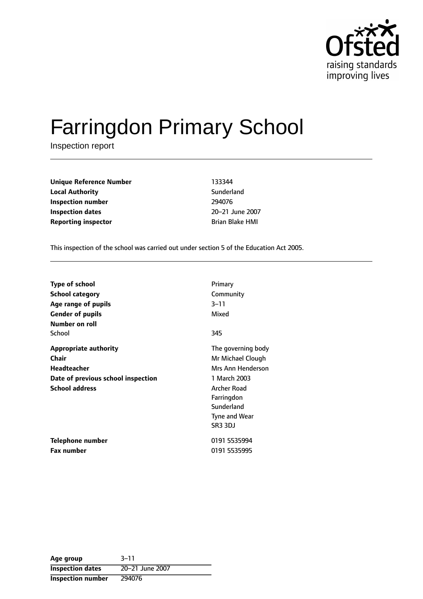

# Farringdon Primary School

Inspection report

**Unique Reference Number** 133344 **Local Authority Contract Sunderland Inspection number** 294076 **Inspection dates** 20-21 June 2007 **Reporting inspector Brian Blake HMI** 

This inspection of the school was carried out under section 5 of the Education Act 2005.

| <b>Type of school</b><br><b>School category</b><br>Age range of pupils<br><b>Gender of pupils</b> | Primary<br>Community<br>3–11<br>Mixed |
|---------------------------------------------------------------------------------------------------|---------------------------------------|
| Number on roll                                                                                    |                                       |
| School                                                                                            | 345                                   |
| <b>Appropriate authority</b>                                                                      | The governing body                    |
| Chair                                                                                             | Mr Michael Clough                     |
| <b>Headteacher</b>                                                                                | Mrs Ann Henderson                     |
| Date of previous school inspection                                                                | 1 March 2003                          |
| <b>School address</b>                                                                             | <b>Archer Road</b>                    |
|                                                                                                   | Farringdon                            |
|                                                                                                   | Sunderland                            |
|                                                                                                   | Tyne and Wear                         |
|                                                                                                   | SR3 3DJ                               |
| Telephone number                                                                                  | 0191 5535994                          |
| <b>Fax number</b>                                                                                 | 0191 5535995                          |

| Age group                | $3 - 11$        |
|--------------------------|-----------------|
| <b>Inspection dates</b>  | 20-21 June 2007 |
| <b>Inspection number</b> | 294076          |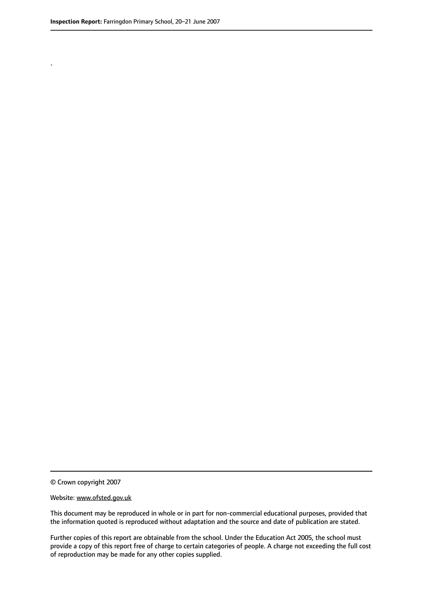.

© Crown copyright 2007

#### Website: www.ofsted.gov.uk

This document may be reproduced in whole or in part for non-commercial educational purposes, provided that the information quoted is reproduced without adaptation and the source and date of publication are stated.

Further copies of this report are obtainable from the school. Under the Education Act 2005, the school must provide a copy of this report free of charge to certain categories of people. A charge not exceeding the full cost of reproduction may be made for any other copies supplied.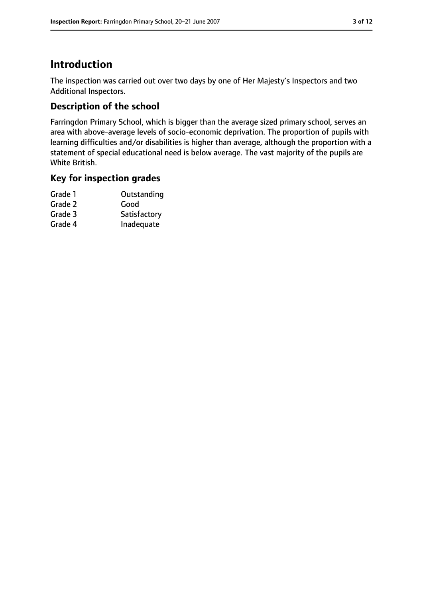# **Introduction**

The inspection was carried out over two days by one of Her Majesty's Inspectors and two Additional Inspectors.

# **Description of the school**

Farringdon Primary School, which is bigger than the average sized primary school, serves an area with above-average levels of socio-economic deprivation. The proportion of pupils with learning difficulties and/or disabilities is higher than average, although the proportion with a statement of special educational need is below average. The vast majority of the pupils are White British.

### **Key for inspection grades**

| Grade 1 | Outstanding  |
|---------|--------------|
| Grade 2 | Good         |
| Grade 3 | Satisfactory |
| Grade 4 | Inadequate   |
|         |              |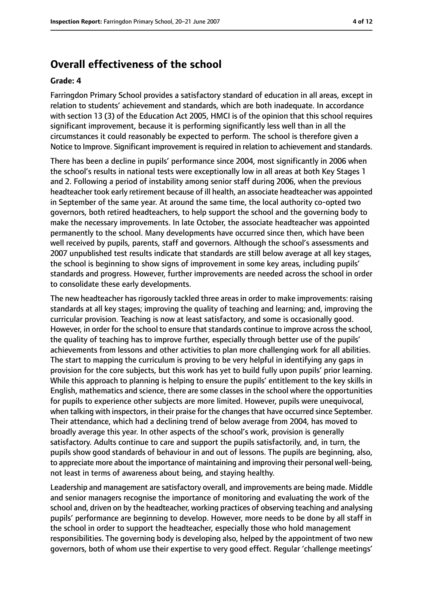# **Overall effectiveness of the school**

#### **Grade: 4**

Farringdon Primary School provides a satisfactory standard of education in all areas, except in relation to students' achievement and standards, which are both inadequate. In accordance with section 13 (3) of the Education Act 2005, HMCI is of the opinion that this school requires significant improvement, because it is performing significantly less well than in all the circumstances it could reasonably be expected to perform. The school is therefore given a Notice to Improve. Significant improvement is required in relation to achievement and standards.

There has been a decline in pupils' performance since 2004, most significantly in 2006 when the school's results in national tests were exceptionally low in all areas at both Key Stages 1 and 2. Following a period of instability among senior staff during 2006, when the previous headteacher took early retirement because of ill health, an associate headteacher was appointed in September of the same year. At around the same time, the local authority co-opted two governors, both retired headteachers, to help support the school and the governing body to make the necessary improvements. In late October, the associate headteacher was appointed permanently to the school. Many developments have occurred since then, which have been well received by pupils, parents, staff and governors. Although the school's assessments and 2007 unpublished test results indicate that standards are still below average at all key stages, the school is beginning to show signs of improvement in some key areas, including pupils' standards and progress. However, further improvements are needed across the school in order to consolidate these early developments.

The new headteacher has rigorously tackled three areas in order to make improvements: raising standards at all key stages; improving the quality of teaching and learning; and, improving the curricular provision. Teaching is now at least satisfactory, and some is occasionally good. However, in order for the school to ensure that standards continue to improve across the school, the quality of teaching has to improve further, especially through better use of the pupils' achievements from lessons and other activities to plan more challenging work for all abilities. The start to mapping the curriculum is proving to be very helpful in identifying any gaps in provision for the core subjects, but this work has yet to build fully upon pupils' prior learning. While this approach to planning is helping to ensure the pupils' entitlement to the key skills in English, mathematics and science, there are some classes in the school where the opportunities for pupils to experience other subjects are more limited. However, pupils were unequivocal, when talking with inspectors, in their praise for the changes that have occurred since September. Their attendance, which had a declining trend of below average from 2004, has moved to broadly average this year. In other aspects of the school's work, provision is generally satisfactory. Adults continue to care and support the pupils satisfactorily, and, in turn, the pupils show good standards of behaviour in and out of lessons. The pupils are beginning, also, to appreciate more about the importance of maintaining and improving their personal well-being, not least in terms of awareness about being, and staying healthy.

Leadership and management are satisfactory overall, and improvements are being made. Middle and senior managers recognise the importance of monitoring and evaluating the work of the school and, driven on by the headteacher, working practices of observing teaching and analysing pupils' performance are beginning to develop. However, more needs to be done by all staff in the school in order to support the headteacher, especially those who hold management responsibilities. The governing body is developing also, helped by the appointment of two new governors, both of whom use their expertise to very good effect. Regular 'challenge meetings'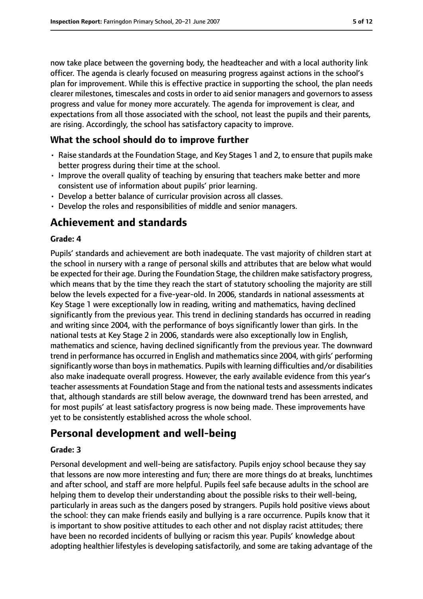now take place between the governing body, the headteacher and with a local authority link officer. The agenda is clearly focused on measuring progress against actions in the school's plan for improvement. While this is effective practice in supporting the school, the plan needs clearer milestones, timescales and costsin order to aid senior managers and governorsto assess progress and value for money more accurately. The agenda for improvement is clear, and expectations from all those associated with the school, not least the pupils and their parents, are rising. Accordingly, the school has satisfactory capacity to improve.

## **What the school should do to improve further**

- Raise standards at the Foundation Stage, and Key Stages 1 and 2, to ensure that pupils make better progress during their time at the school.
- Improve the overall quality of teaching by ensuring that teachers make better and more consistent use of information about pupils' prior learning.
- Develop a better balance of curricular provision across all classes.
- Develop the roles and responsibilities of middle and senior managers.

# **Achievement and standards**

#### **Grade: 4**

Pupils' standards and achievement are both inadequate. The vast majority of children start at the school in nursery with a range of personal skills and attributes that are below what would be expected for their age. During the Foundation Stage, the children make satisfactory progress, which means that by the time they reach the start of statutory schooling the majority are still below the levels expected for a five-year-old. In 2006, standards in national assessments at Key Stage 1 were exceptionally low in reading, writing and mathematics, having declined significantly from the previous year. This trend in declining standards has occurred in reading and writing since 2004, with the performance of boys significantly lower than girls. In the national tests at Key Stage 2 in 2006, standards were also exceptionally low in English, mathematics and science, having declined significantly from the previous year. The downward trend in performance has occurred in English and mathematics since 2004, with girls' performing significantly worse than boys in mathematics. Pupils with learning difficulties and/or disabilities also make inadequate overall progress. However, the early available evidence from this year's teacher assessments at Foundation Stage and from the national tests and assessmentsindicates that, although standards are still below average, the downward trend has been arrested, and for most pupils' at least satisfactory progress is now being made. These improvements have yet to be consistently established across the whole school.

# **Personal development and well-being**

#### **Grade: 3**

Personal development and well-being are satisfactory. Pupils enjoy school because they say that lessons are now more interesting and fun; there are more things do at breaks, lunchtimes and after school, and staff are more helpful. Pupils feel safe because adults in the school are helping them to develop their understanding about the possible risks to their well-being, particularly in areas such as the dangers posed by strangers. Pupils hold positive views about the school: they can make friends easily and bullying is a rare occurrence. Pupils know that it is important to show positive attitudes to each other and not display racist attitudes; there have been no recorded incidents of bullying or racism this year. Pupils' knowledge about adopting healthier lifestyles is developing satisfactorily, and some are taking advantage of the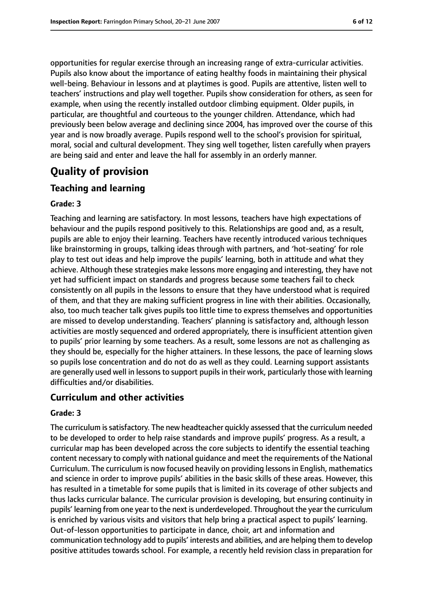opportunities for regular exercise through an increasing range of extra-curricular activities. Pupils also know about the importance of eating healthy foods in maintaining their physical well-being. Behaviour in lessons and at playtimes is good. Pupils are attentive, listen well to teachers' instructions and play well together. Pupils show consideration for others, as seen for example, when using the recently installed outdoor climbing equipment. Older pupils, in particular, are thoughtful and courteous to the younger children. Attendance, which had previously been below average and declining since 2004, has improved over the course of this year and is now broadly average. Pupils respond well to the school's provision for spiritual, moral, social and cultural development. They sing well together, listen carefully when prayers are being said and enter and leave the hall for assembly in an orderly manner.

# **Quality of provision**

## **Teaching and learning**

#### **Grade: 3**

Teaching and learning are satisfactory. In most lessons, teachers have high expectations of behaviour and the pupils respond positively to this. Relationships are good and, as a result, pupils are able to enjoy their learning. Teachers have recently introduced various techniques like brainstorming in groups, talking ideas through with partners, and 'hot-seating' for role play to test out ideas and help improve the pupils' learning, both in attitude and what they achieve. Although these strategies make lessons more engaging and interesting, they have not yet had sufficient impact on standards and progress because some teachers fail to check consistently on all pupils in the lessons to ensure that they have understood what is required of them, and that they are making sufficient progress in line with their abilities. Occasionally, also, too much teacher talk gives pupils too little time to express themselves and opportunities are missed to develop understanding. Teachers' planning is satisfactory and, although lesson activities are mostly sequenced and ordered appropriately, there is insufficient attention given to pupils' prior learning by some teachers. As a result, some lessons are not as challenging as they should be, especially for the higher attainers. In these lessons, the pace of learning slows so pupils lose concentration and do not do as well as they could. Learning support assistants are generally used well in lessons to support pupils in their work, particularly those with learning difficulties and/or disabilities.

## **Curriculum and other activities**

#### **Grade: 3**

The curriculum is satisfactory. The new headteacher quickly assessed that the curriculum needed to be developed to order to help raise standards and improve pupils' progress. As a result, a curricular map has been developed across the core subjects to identify the essential teaching content necessary to comply with national guidance and meet the requirements of the National Curriculum. The curriculum is now focused heavily on providing lessonsin English, mathematics and science in order to improve pupils' abilities in the basic skills of these areas. However, this has resulted in a timetable for some pupils that is limited in its coverage of other subjects and thus lacks curricular balance. The curricular provision is developing, but ensuring continuity in pupils' learning from one year to the next is underdeveloped. Throughout the year the curriculum is enriched by various visits and visitors that help bring a practical aspect to pupils' learning. Out-of-lesson opportunities to participate in dance, choir, art and information and communication technology add to pupils' interests and abilities, and are helping them to develop positive attitudes towards school. For example, a recently held revision class in preparation for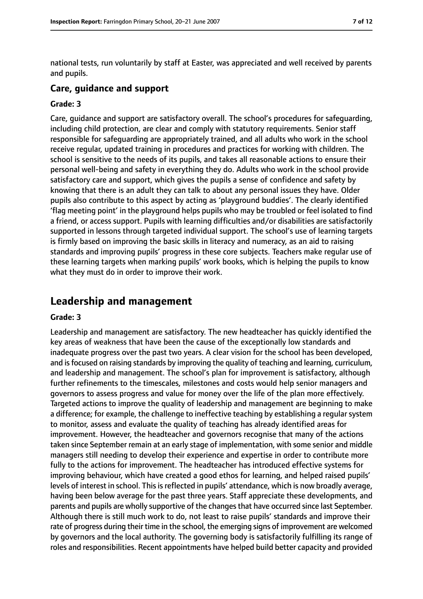national tests, run voluntarily by staff at Easter, was appreciated and well received by parents and pupils.

#### **Care, guidance and support**

#### **Grade: 3**

Care, guidance and support are satisfactory overall. The school's procedures for safeguarding, including child protection, are clear and comply with statutory requirements. Senior staff responsible for safeguarding are appropriately trained, and all adults who work in the school receive regular, updated training in procedures and practices for working with children. The school is sensitive to the needs of its pupils, and takes all reasonable actions to ensure their personal well-being and safety in everything they do. Adults who work in the school provide satisfactory care and support, which gives the pupils a sense of confidence and safety by knowing that there is an adult they can talk to about any personal issues they have. Older pupils also contribute to this aspect by acting as 'playground buddies'. The clearly identified 'flag meeting point' in the playground helps pupils who may be troubled or feel isolated to find a friend, or access support. Pupils with learning difficulties and/or disabilities are satisfactorily supported in lessons through targeted individual support. The school's use of learning targets is firmly based on improving the basic skills in literacy and numeracy, as an aid to raising standards and improving pupils' progress in these core subjects. Teachers make regular use of these learning targets when marking pupils' work books, which is helping the pupils to know what they must do in order to improve their work.

# **Leadership and management**

#### **Grade: 3**

Leadership and management are satisfactory. The new headteacher has quickly identified the key areas of weakness that have been the cause of the exceptionally low standards and inadequate progress over the past two years. A clear vision for the school has been developed, and is focused on raising standards by improving the quality of teaching and learning, curriculum, and leadership and management. The school's plan for improvement is satisfactory, although further refinements to the timescales, milestones and costs would help senior managers and governors to assess progress and value for money over the life of the plan more effectively. Targeted actions to improve the quality of leadership and management are beginning to make a difference; for example, the challenge to ineffective teaching by establishing a regularsystem to monitor, assess and evaluate the quality of teaching has already identified areas for improvement. However, the headteacher and governors recognise that many of the actions taken since September remain at an early stage of implementation, with some senior and middle managers still needing to develop their experience and expertise in order to contribute more fully to the actions for improvement. The headteacher has introduced effective systems for improving behaviour, which have created a good ethos for learning, and helped raised pupils' levels of interest in school. This is reflected in pupils' attendance, which is now broadly average, having been below average for the past three years. Staff appreciate these developments, and parents and pupils are wholly supportive of the changes that have occurred since last September. Although there is still much work to do, not least to raise pupils' standards and improve their rate of progress during their time in the school, the emerging signs of improvement are welcomed by governors and the local authority. The governing body is satisfactorily fulfilling its range of roles and responsibilities. Recent appointments have helped build better capacity and provided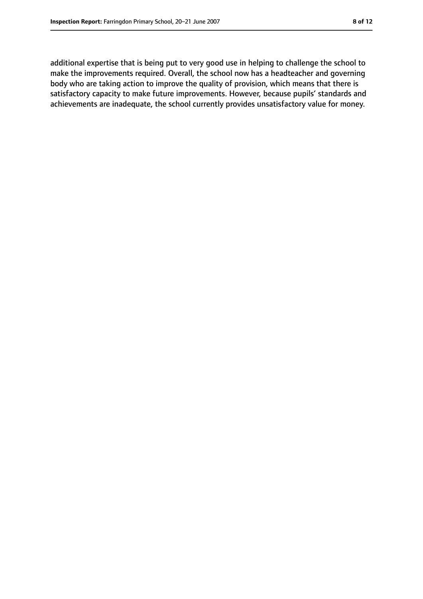additional expertise that is being put to very good use in helping to challenge the school to make the improvements required. Overall, the school now has a headteacher and governing body who are taking action to improve the quality of provision, which means that there is satisfactory capacity to make future improvements. However, because pupils' standards and achievements are inadequate, the school currently provides unsatisfactory value for money.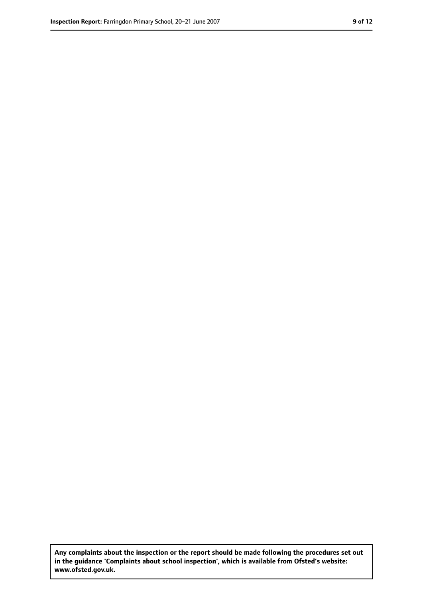**Any complaints about the inspection or the report should be made following the procedures set out in the guidance 'Complaints about school inspection', which is available from Ofsted's website: www.ofsted.gov.uk.**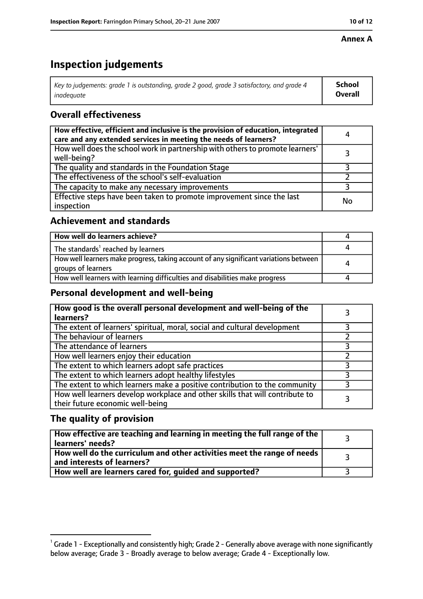#### **Annex A**

# **Inspection judgements**

| Key to judgements: grade 1 is outstanding, grade 2 good, grade 3 satisfactory, and grade 4 | School         |
|--------------------------------------------------------------------------------------------|----------------|
| inadeguate                                                                                 | <b>Overall</b> |

# **Overall effectiveness**

| How effective, efficient and inclusive is the provision of education, integrated<br>care and any extended services in meeting the needs of learners? | 4  |
|------------------------------------------------------------------------------------------------------------------------------------------------------|----|
| How well does the school work in partnership with others to promote learners'<br>well-being?                                                         |    |
| The quality and standards in the Foundation Stage                                                                                                    |    |
| The effectiveness of the school's self-evaluation                                                                                                    |    |
| The capacity to make any necessary improvements                                                                                                      |    |
| Effective steps have been taken to promote improvement since the last<br>inspection                                                                  | No |

## **Achievement and standards**

| How well do learners achieve?                                                                               |  |
|-------------------------------------------------------------------------------------------------------------|--|
| The standards <sup>1</sup> reached by learners                                                              |  |
| How well learners make progress, taking account of any significant variations between<br>groups of learners |  |
| How well learners with learning difficulties and disabilities make progress                                 |  |

## **Personal development and well-being**

| How good is the overall personal development and well-being of the<br>learners?                                  |  |
|------------------------------------------------------------------------------------------------------------------|--|
| The extent of learners' spiritual, moral, social and cultural development                                        |  |
| The behaviour of learners                                                                                        |  |
| The attendance of learners                                                                                       |  |
| How well learners enjoy their education                                                                          |  |
| The extent to which learners adopt safe practices                                                                |  |
| The extent to which learners adopt healthy lifestyles                                                            |  |
| The extent to which learners make a positive contribution to the community                                       |  |
| How well learners develop workplace and other skills that will contribute to<br>their future economic well-being |  |

## **The quality of provision**

| How effective are teaching and learning in meeting the full range of the<br>learners' needs?          |  |
|-------------------------------------------------------------------------------------------------------|--|
| How well do the curriculum and other activities meet the range of needs<br>and interests of learners? |  |
| How well are learners cared for, quided and supported?                                                |  |

 $^1$  Grade 1 - Exceptionally and consistently high; Grade 2 - Generally above average with none significantly below average; Grade 3 - Broadly average to below average; Grade 4 - Exceptionally low.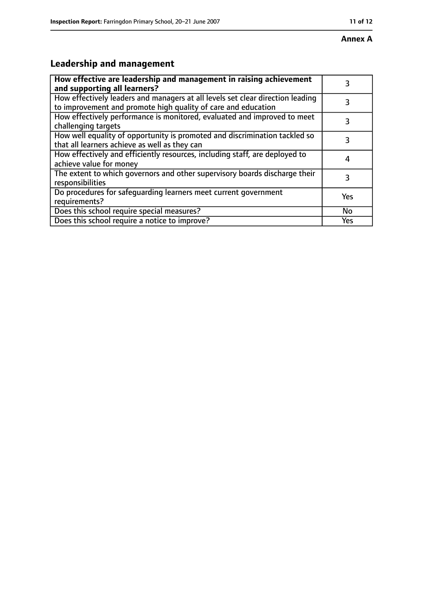# **Leadership and management**

| How effective are leadership and management in raising achievement<br>and supporting all learners?                                              |     |
|-------------------------------------------------------------------------------------------------------------------------------------------------|-----|
| How effectively leaders and managers at all levels set clear direction leading<br>to improvement and promote high quality of care and education |     |
| How effectively performance is monitored, evaluated and improved to meet<br>challenging targets                                                 |     |
| How well equality of opportunity is promoted and discrimination tackled so<br>that all learners achieve as well as they can                     |     |
| How effectively and efficiently resources, including staff, are deployed to<br>achieve value for money                                          | 4   |
| The extent to which governors and other supervisory boards discharge their<br>responsibilities                                                  | 3   |
| Do procedures for safequarding learners meet current government<br>requirements?                                                                | Yes |
| Does this school require special measures?                                                                                                      | No  |
| Does this school require a notice to improve?                                                                                                   | Yes |